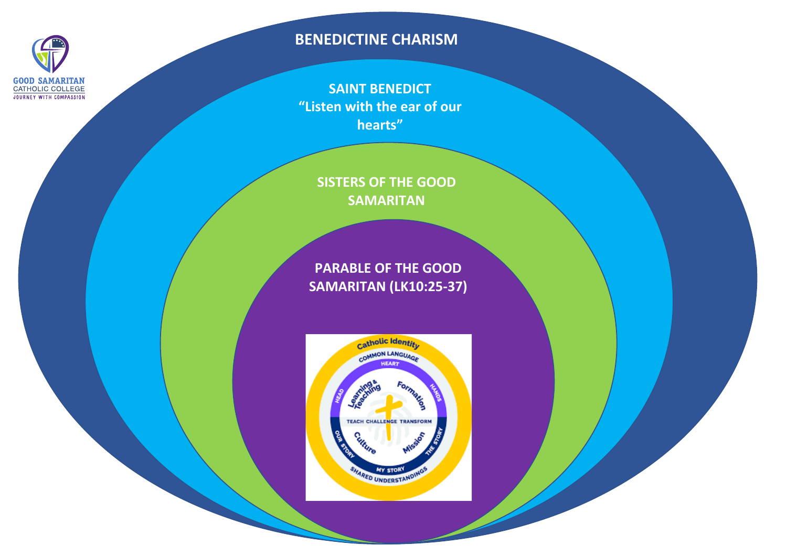

# **BENEDICTINE CHARISM**

**SAINT BENEDICT "Listen with the ear of our hearts"**

**SISTERS OF THE GOOD SAMARITAN**

**PARABLE OF THE GOOD SAMARITAN (LK10:25-37)**